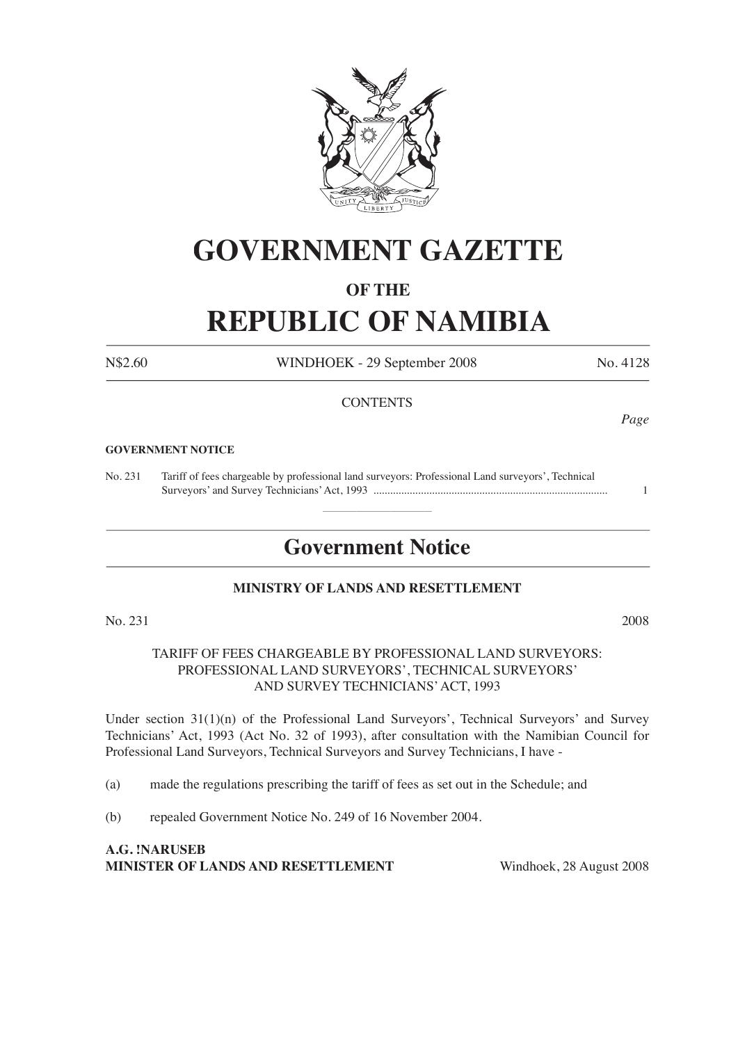

# **GOVERNMENT GAZETTE**

### **OF THE**

# **REPUBLIC OF NAMIBIA**

N\$2.60 WINDHOEK - 29 September 2008 No. 4128

#### **CONTENTS**

#### **GOVERNMENT NOTICE**

No. 231 Tariff of fees chargeable by professional land surveyors: Professional Land surveyors', Technical Surveyors' and Survey Technicians' Act, 1993 .................................................................................... 1

# **Government Notice**

### **MINISTRY OF LANDS AND RESETTLEMENT**

 $\overline{\phantom{a}}$  , where  $\overline{\phantom{a}}$ 

No. 231 2008

TARIFF OF FEES CHARGEABLE BY PROFESSIONAL LAND SURVEYORS: PROFESSIONAL LAND SURVEYORS', TECHNICAL SURVEYORS' AND SURVEY TECHNICIANS' ACT, 1993

Under section  $31(1)(n)$  of the Professional Land Surveyors', Technical Surveyors' and Survey Technicians' Act, 1993 (Act No. 32 of 1993), after consultation with the Namibian Council for Professional Land Surveyors, Technical Surveyors and Survey Technicians, I have -

(a) made the regulations prescribing the tariff of fees as set out in the Schedule; and

(b) repealed Government Notice No. 249 of 16 November 2004.

**A.G. !NARUSEB MINISTER OF LANDS AND RESETTLEMENT** Windhoek, 28 August 2008

*Page*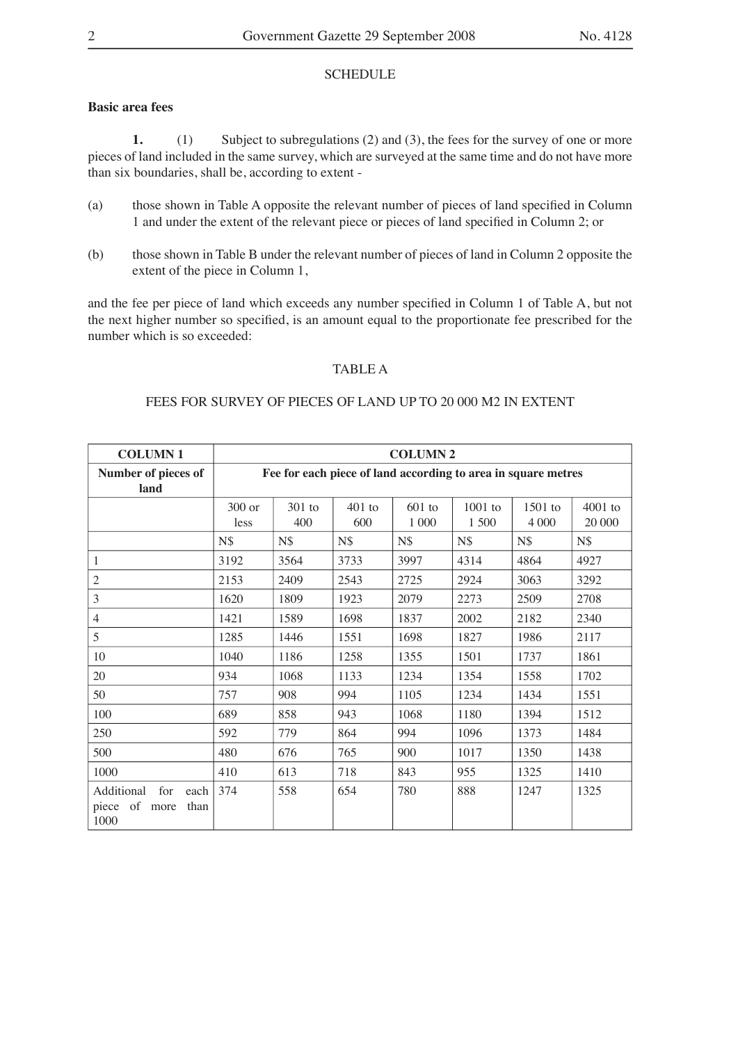#### SCHEDULE

#### **Basic area fees**

**1.** (1) Subject to subregulations (2) and (3), the fees for the survey of one or more pieces of land included in the same survey, which are surveyed at the same time and do not have more than six boundaries, shall be, according to extent -

- (a) those shown in Table A opposite the relevant number of pieces of land specified in Column 1 and under the extent of the relevant piece or pieces of land specified in Column 2; or
- (b) those shown in Table B under the relevant number of pieces of land in Column 2 opposite the extent of the piece in Column 1,

and the fee per piece of land which exceeds any number specified in Column 1 of Table A, but not the next higher number so specified, is an amount equal to the proportionate fee prescribed for the number which is so exceeded:

#### TABLE A

#### FEES FOR SURVEY OF PIECES OF LAND UP TO 20 000 M2 IN EXTENT

| <b>COLUMN1</b>                                                | <b>COLUMN 2</b>                                               |                 |                 |                   |                  |                    |                     |
|---------------------------------------------------------------|---------------------------------------------------------------|-----------------|-----------------|-------------------|------------------|--------------------|---------------------|
| Number of pieces of<br>land                                   | Fee for each piece of land according to area in square metres |                 |                 |                   |                  |                    |                     |
|                                                               | 300 or<br>less                                                | $301$ to<br>400 | $401$ to<br>600 | $601$ to<br>1 000 | 1001 to<br>1 500 | 1501 to<br>4 0 0 0 | $4001$ to<br>20 000 |
|                                                               | N\$                                                           | $N\$            | N\$             | $N\$              | N\$              | $N\$               | N\$                 |
| 1                                                             | 3192                                                          | 3564            | 3733            | 3997              | 4314             | 4864               | 4927                |
| $\overline{2}$                                                | 2153                                                          | 2409            | 2543            | 2725              | 2924             | 3063               | 3292                |
| 3                                                             | 1620                                                          | 1809            | 1923            | 2079              | 2273             | 2509               | 2708                |
| $\overline{4}$                                                | 1421                                                          | 1589            | 1698            | 1837              | 2002             | 2182               | 2340                |
| 5                                                             | 1285                                                          | 1446            | 1551            | 1698              | 1827             | 1986               | 2117                |
| 10                                                            | 1040                                                          | 1186            | 1258            | 1355              | 1501             | 1737               | 1861                |
| 20                                                            | 934                                                           | 1068            | 1133            | 1234              | 1354             | 1558               | 1702                |
| 50                                                            | 757                                                           | 908             | 994             | 1105              | 1234             | 1434               | 1551                |
| 100                                                           | 689                                                           | 858             | 943             | 1068              | 1180             | 1394               | 1512                |
| 250                                                           | 592                                                           | 779             | 864             | 994               | 1096             | 1373               | 1484                |
| 500                                                           | 480                                                           | 676             | 765             | 900               | 1017             | 1350               | 1438                |
| 1000                                                          | 410                                                           | 613             | 718             | 843               | 955              | 1325               | 1410                |
| Additional<br>for<br>each<br>piece of<br>than<br>more<br>1000 | 374                                                           | 558             | 654             | 780               | 888              | 1247               | 1325                |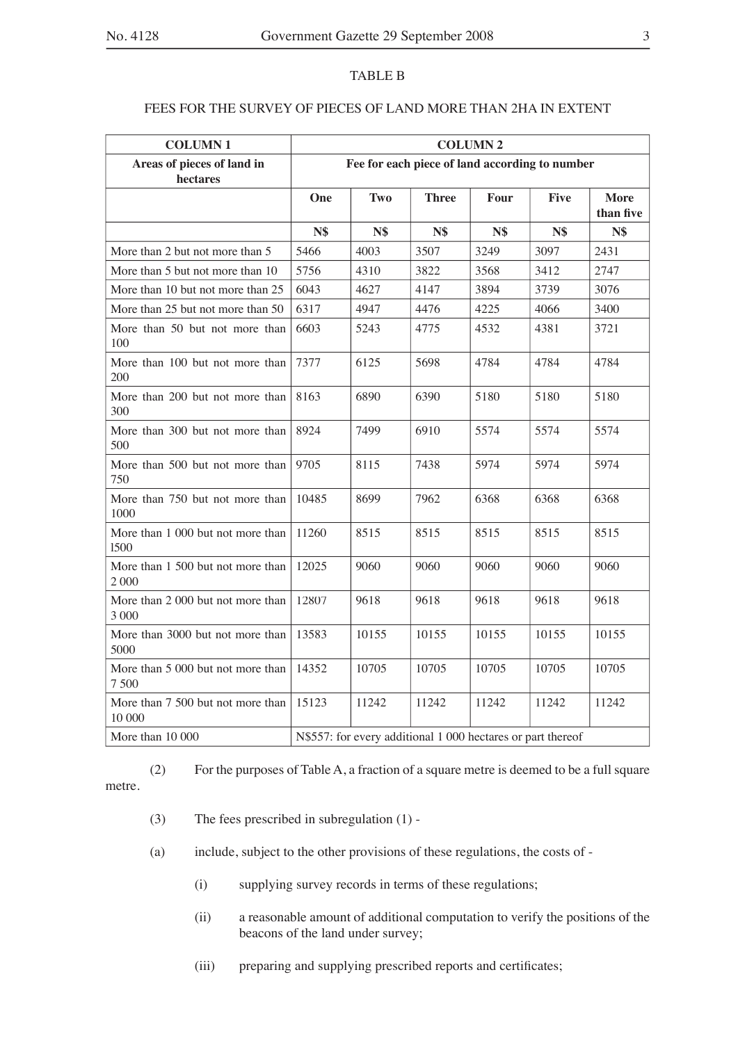#### TABLE B

#### FEES FOR THE SURVEY OF PIECES OF LAND MORE THAN 2HA IN EXTENT

| <b>COLUMN1</b>                               | <b>COLUMN 2</b>                                             |       |              |       |             |                          |  |
|----------------------------------------------|-------------------------------------------------------------|-------|--------------|-------|-------------|--------------------------|--|
| Areas of pieces of land in<br>hectares       | Fee for each piece of land according to number              |       |              |       |             |                          |  |
|                                              | One                                                         | Two   | <b>Three</b> | Four  | <b>Five</b> | <b>More</b><br>than five |  |
|                                              | <b>N\$</b>                                                  | N\$   | <b>N\$</b>   | N\$   | <b>N\$</b>  | <b>N\$</b>               |  |
| More than 2 but not more than 5              | 5466                                                        | 4003  | 3507         | 3249  | 3097        | 2431                     |  |
| More than 5 but not more than 10             | 5756                                                        | 4310  | 3822         | 3568  | 3412        | 2747                     |  |
| More than 10 but not more than 25            | 6043                                                        | 4627  | 4147         | 3894  | 3739        | 3076                     |  |
| More than 25 but not more than 50            | 6317                                                        | 4947  | 4476         | 4225  | 4066        | 3400                     |  |
| More than 50 but not more than<br>100        | 6603                                                        | 5243  | 4775         | 4532  | 4381        | 3721                     |  |
| More than 100 but not more than<br>200       | 7377                                                        | 6125  | 5698         | 4784  | 4784        | 4784                     |  |
| More than 200 but not more than<br>300       | 8163                                                        | 6890  | 6390         | 5180  | 5180        | 5180                     |  |
| More than 300 but not more than<br>500       | 8924                                                        | 7499  | 6910         | 5574  | 5574        | 5574                     |  |
| More than 500 but not more than<br>750       | 9705                                                        | 8115  | 7438         | 5974  | 5974        | 5974                     |  |
| More than 750 but not more than<br>1000      | 10485                                                       | 8699  | 7962         | 6368  | 6368        | 6368                     |  |
| More than 1 000 but not more than<br>1500    | 11260                                                       | 8515  | 8515         | 8515  | 8515        | 8515                     |  |
| More than 1 500 but not more than<br>2 000   | 12025                                                       | 9060  | 9060         | 9060  | 9060        | 9060                     |  |
| More than 2 000 but not more than<br>3 0 0 0 | 12807                                                       | 9618  | 9618         | 9618  | 9618        | 9618                     |  |
| More than 3000 but not more than<br>5000     | 13583                                                       | 10155 | 10155        | 10155 | 10155       | 10155                    |  |
| More than 5 000 but not more than<br>7 500   | 14352                                                       | 10705 | 10705        | 10705 | 10705       | 10705                    |  |
| More than 7 500 but not more than<br>10 000  | 15123                                                       | 11242 | 11242        | 11242 | 11242       | 11242                    |  |
| More than $10000$                            | N\$557: for every additional 1 000 hectares or part thereof |       |              |       |             |                          |  |

(2) For the purposes of Table A, a fraction of a square metre is deemed to be a full square metre.

- (3) The fees prescribed in subregulation (1) -
- (a) include, subject to the other provisions of these regulations, the costs of
	- (i) supplying survey records in terms of these regulations;
	- (ii) a reasonable amount of additional computation to verify the positions of the beacons of the land under survey;
	- (iii) preparing and supplying prescribed reports and certificates;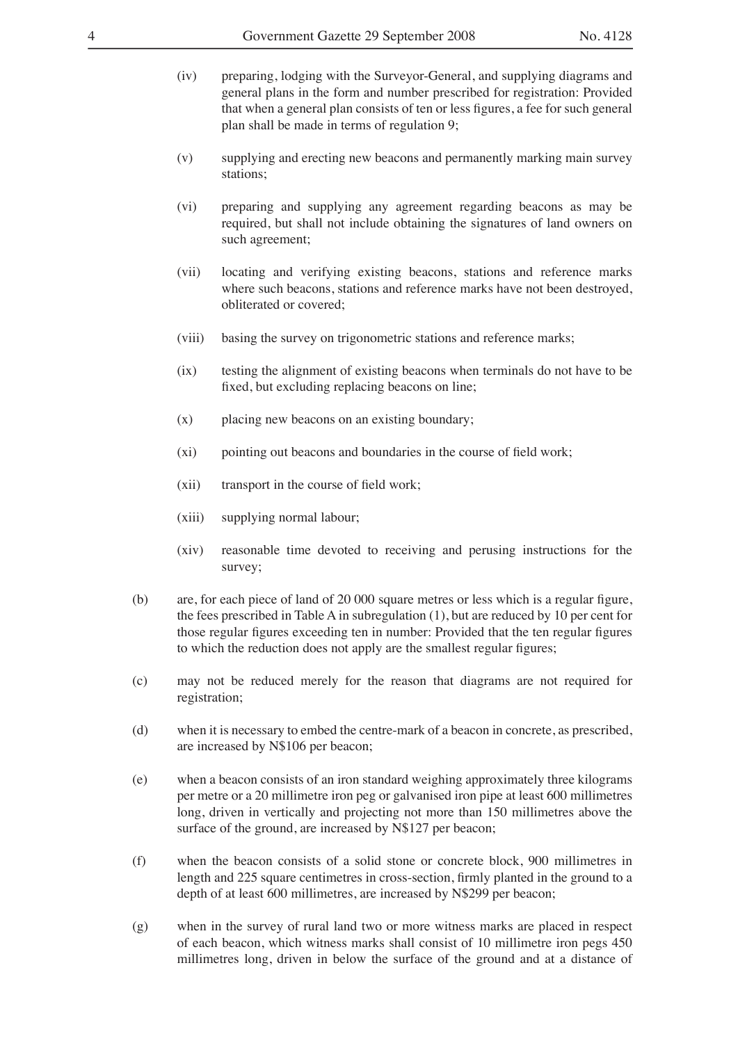- (iv) preparing, lodging with the Surveyor-General, and supplying diagrams and general plans in the form and number prescribed for registration: Provided that when a general plan consists of ten or less figures, a fee for such general plan shall be made in terms of regulation 9;
- (v) supplying and erecting new beacons and permanently marking main survey stations;
- (vi) preparing and supplying any agreement regarding beacons as may be required, but shall not include obtaining the signatures of land owners on such agreement;
- (vii) locating and verifying existing beacons, stations and reference marks where such beacons, stations and reference marks have not been destroyed, obliterated or covered;
- (viii) basing the survey on trigonometric stations and reference marks;
- (ix) testing the alignment of existing beacons when terminals do not have to be fixed, but excluding replacing beacons on line;
- (x) placing new beacons on an existing boundary;
- $(xi)$  pointing out beacons and boundaries in the course of field work;
- $(xii)$  transport in the course of field work;
- (xiii) supplying normal labour;
- (xiv) reasonable time devoted to receiving and perusing instructions for the survey;
- $(b)$  are, for each piece of land of 20 000 square metres or less which is a regular figure, the fees prescribed in Table A in subregulation (1), but are reduced by 10 per cent for those regular figures exceeding ten in number: Provided that the ten regular figures to which the reduction does not apply are the smallest regular figures;
- (c) may not be reduced merely for the reason that diagrams are not required for registration;
- (d) when it is necessary to embed the centre-mark of a beacon in concrete, as prescribed, are increased by N\$106 per beacon;
- (e) when a beacon consists of an iron standard weighing approximately three kilograms per metre or a 20 millimetre iron peg or galvanised iron pipe at least 600 millimetres long, driven in vertically and projecting not more than 150 millimetres above the surface of the ground, are increased by N\$127 per beacon;
- (f) when the beacon consists of a solid stone or concrete block, 900 millimetres in length and 225 square centimetres in cross-section, firmly planted in the ground to a depth of at least 600 millimetres, are increased by N\$299 per beacon;
- (g) when in the survey of rural land two or more witness marks are placed in respect of each beacon, which witness marks shall consist of 10 millimetre iron pegs 450 millimetres long, driven in below the surface of the ground and at a distance of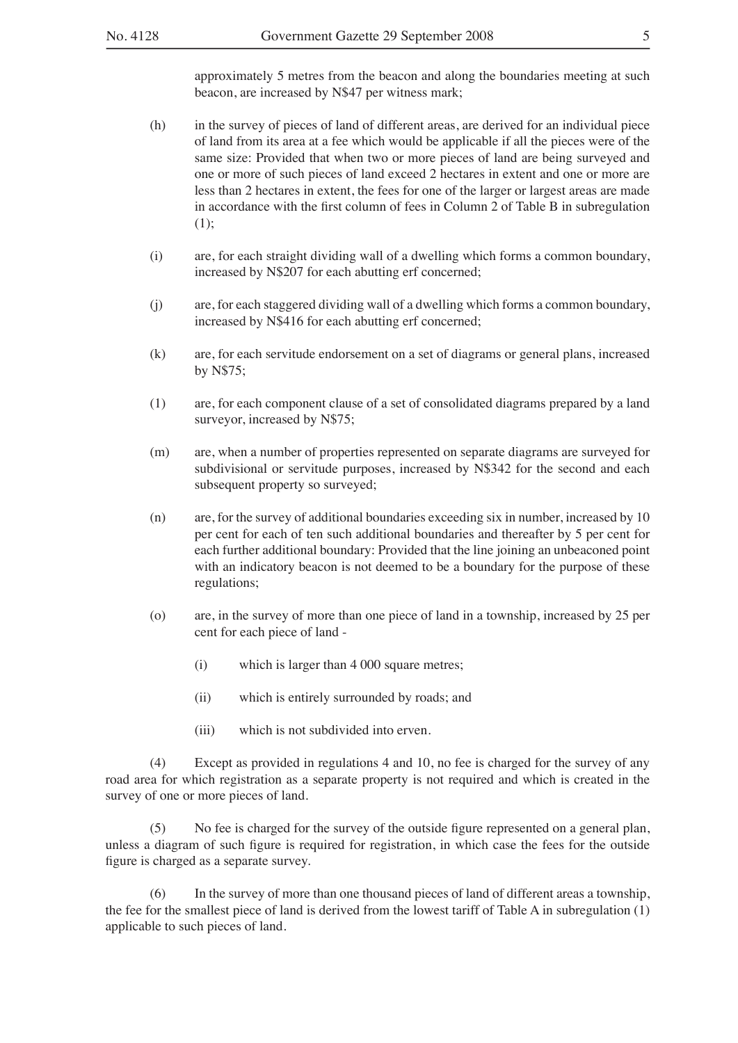- (h) in the survey of pieces of land of different areas, are derived for an individual piece of land from its area at a fee which would be applicable if all the pieces were of the same size: Provided that when two or more pieces of land are being surveyed and one or more of such pieces of land exceed 2 hectares in extent and one or more are less than 2 hectares in extent, the fees for one of the larger or largest areas are made in accordance with the first column of fees in Column 2 of Table B in subregulation (1);
- (i) are, for each straight dividing wall of a dwelling which forms a common boundary, increased by N\$207 for each abutting erf concerned;
- (j) are, for each staggered dividing wall of a dwelling which forms a common boundary, increased by N\$416 for each abutting erf concerned;
- (k) are, for each servitude endorsement on a set of diagrams or general plans, increased by N\$75;
- (1) are, for each component clause of a set of consolidated diagrams prepared by a land surveyor, increased by N\$75;
- (m) are, when a number of properties represented on separate diagrams are surveyed for subdivisional or servitude purposes, increased by N\$342 for the second and each subsequent property so surveyed;
- (n) are, for the survey of additional boundaries exceeding six in number, increased by 10 per cent for each of ten such additional boundaries and thereafter by 5 per cent for each further additional boundary: Provided that the line joining an unbeaconed point with an indicatory beacon is not deemed to be a boundary for the purpose of these regulations;
- (o) are, in the survey of more than one piece of land in a township, increased by 25 per cent for each piece of land -
	- (i) which is larger than 4 000 square metres;
	- (ii) which is entirely surrounded by roads; and
	- (iii) which is not subdivided into erven.

(4) Except as provided in regulations 4 and 10, no fee is charged for the survey of any road area for which registration as a separate property is not required and which is created in the survey of one or more pieces of land.

(5) No fee is charged for the survey of the outside figure represented on a general plan, unless a diagram of such figure is required for registration, in which case the fees for the outside figure is charged as a separate survey.

(6) In the survey of more than one thousand pieces of land of different areas a township, the fee for the smallest piece of land is derived from the lowest tariff of Table A in subregulation (1) applicable to such pieces of land.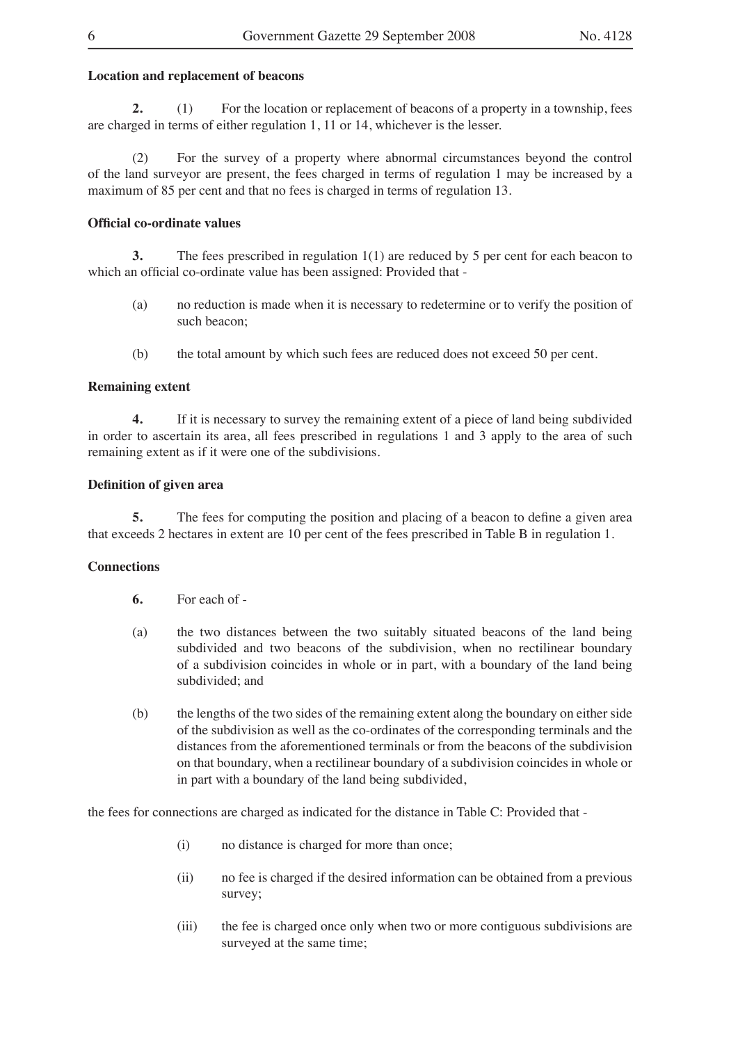#### **Location and replacement of beacons**

**2.** (1) For the location or replacement of beacons of a property in a township, fees are charged in terms of either regulation 1, 11 or 14, whichever is the lesser.

(2) For the survey of a property where abnormal circumstances beyond the control of the land surveyor are present, the fees charged in terms of regulation 1 may be increased by a maximum of 85 per cent and that no fees is charged in terms of regulation 13.

#### **Official co-ordinate values**

**3.** The fees prescribed in regulation 1(1) are reduced by 5 per cent for each beacon to which an official co-ordinate value has been assigned: Provided that -

- (a) no reduction is made when it is necessary to redetermine or to verify the position of such beacon;
- (b) the total amount by which such fees are reduced does not exceed 50 per cent.

#### **Remaining extent**

**4.** If it is necessary to survey the remaining extent of a piece of land being subdivided in order to ascertain its area, all fees prescribed in regulations 1 and 3 apply to the area of such remaining extent as if it were one of the subdivisions.

#### **Definition of given area**

**5.** The fees for computing the position and placing of a beacon to define a given area that exceeds 2 hectares in extent are 10 per cent of the fees prescribed in Table B in regulation 1.

#### **Connections**

- **6.** For each of -
- (a) the two distances between the two suitably situated beacons of the land being subdivided and two beacons of the subdivision, when no rectilinear boundary of a subdivision coincides in whole or in part, with a boundary of the land being subdivided; and
- (b) the lengths of the two sides of the remaining extent along the boundary on either side of the subdivision as well as the co-ordinates of the corresponding terminals and the distances from the aforementioned terminals or from the beacons of the subdivision on that boundary, when a rectilinear boundary of a subdivision coincides in whole or in part with a boundary of the land being subdivided,

the fees for connections are charged as indicated for the distance in Table C: Provided that -

- (i) no distance is charged for more than once;
- (ii) no fee is charged if the desired information can be obtained from a previous survey;
- (iii) the fee is charged once only when two or more contiguous subdivisions are surveyed at the same time;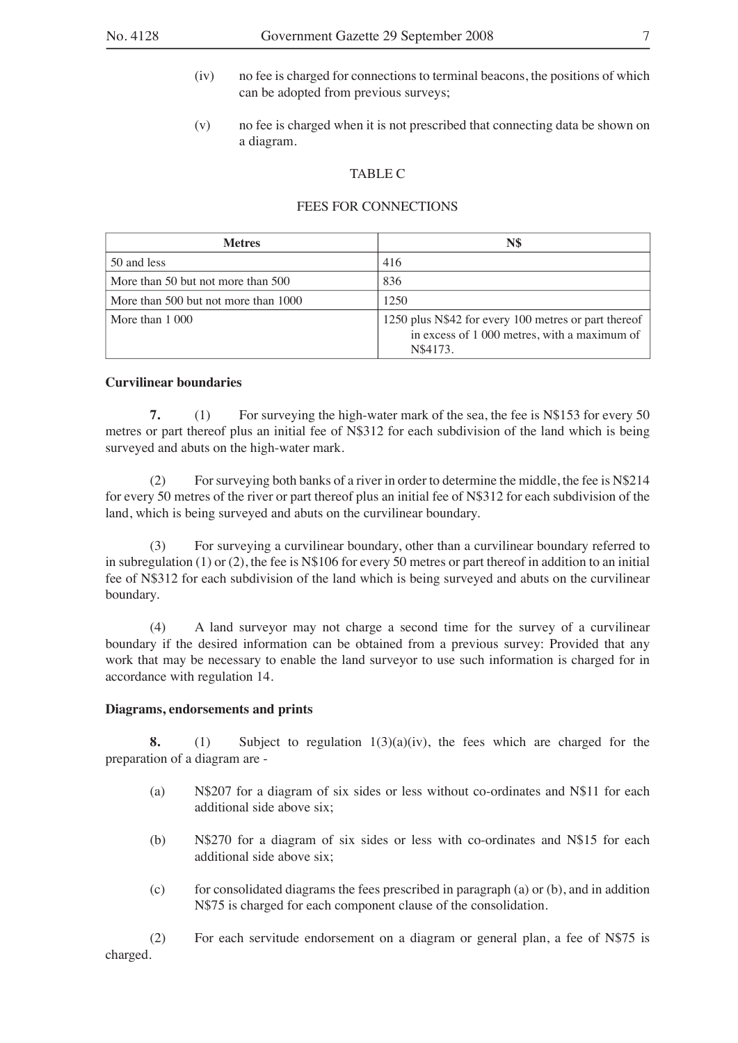- (iv) no fee is charged for connections to terminal beacons, the positions of which can be adopted from previous surveys;
- (v) no fee is charged when it is not prescribed that connecting data be shown on a diagram.

#### TABLE C

#### FEES FOR CONNECTIONS

| <b>Metres</b>                        | N\$                                                                                                              |
|--------------------------------------|------------------------------------------------------------------------------------------------------------------|
| 50 and less                          | 416                                                                                                              |
| More than 50 but not more than 500   | 836                                                                                                              |
| More than 500 but not more than 1000 | 1250                                                                                                             |
| More than 1 000                      | 1250 plus N\$42 for every 100 metres or part thereof<br>in excess of 1 000 metres, with a maximum of<br>N\$4173. |

#### **Curvilinear boundaries**

**7.** (1) For surveying the high-water mark of the sea, the fee is N\$153 for every 50 metres or part thereof plus an initial fee of N\$312 for each subdivision of the land which is being surveyed and abuts on the high-water mark.

(2) For surveying both banks of a river in order to determine the middle, the fee is N\$214 for every 50 metres of the river or part thereof plus an initial fee of N\$312 for each subdivision of the land, which is being surveyed and abuts on the curvilinear boundary.

(3) For surveying a curvilinear boundary, other than a curvilinear boundary referred to in subregulation (1) or (2), the fee is N\$106 for every 50 metres or part thereof in addition to an initial fee of N\$312 for each subdivision of the land which is being surveyed and abuts on the curvilinear boundary.

(4) A land surveyor may not charge a second time for the survey of a curvilinear boundary if the desired information can be obtained from a previous survey: Provided that any work that may be necessary to enable the land surveyor to use such information is charged for in accordance with regulation 14.

#### **Diagrams, endorsements and prints**

**8.** (1) Subject to regulation 1(3)(a)(iv), the fees which are charged for the preparation of a diagram are -

- (a) N\$207 for a diagram of six sides or less without co-ordinates and N\$11 for each additional side above six;
- (b) N\$270 for a diagram of six sides or less with co-ordinates and N\$15 for each additional side above six;
- $(c)$  for consolidated diagrams the fees prescribed in paragraph (a) or  $(b)$ , and in addition N\$75 is charged for each component clause of the consolidation.

(2) For each servitude endorsement on a diagram or general plan, a fee of N\$75 is charged.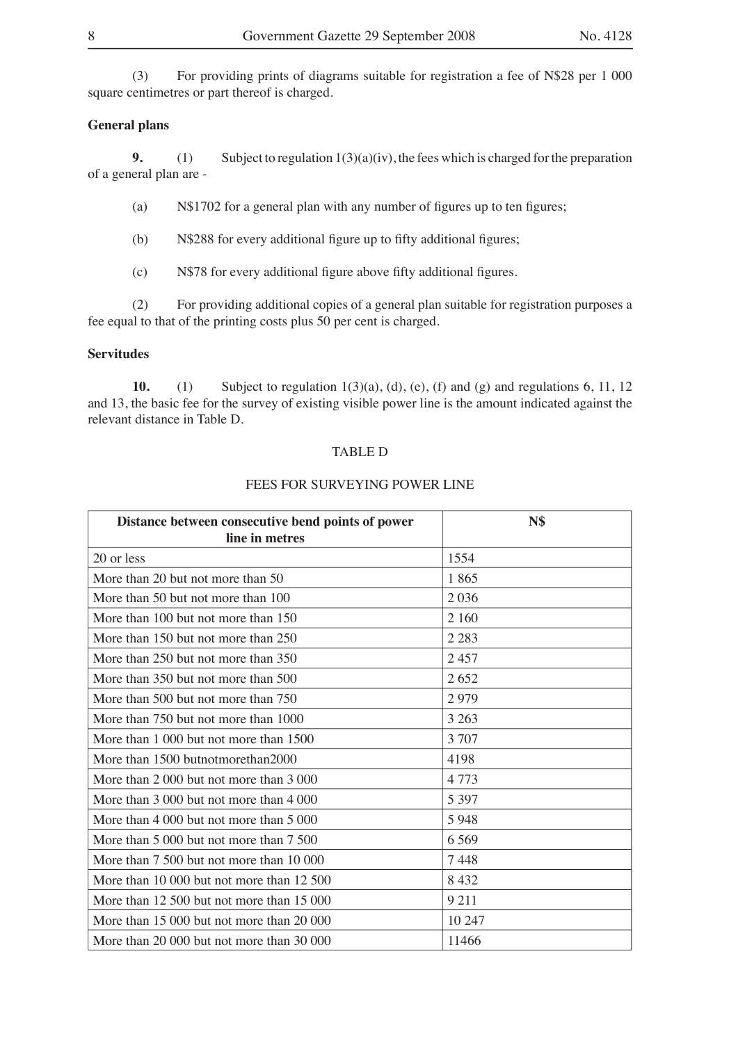(3) For providing prints of diagrams suitable for registration a fee of N\$28 per 1 000 square centimetres or part thereof is charged.

#### **General plans**

**9.** (1) Subject to regulation  $1(3)(a)(iv)$ , the fees which is charged for the preparation of a general plan are -

(a)  $N$1702$  for a general plan with any number of figures up to ten figures;

 $(b)$  N\$288 for every additional figure up to fifty additional figures;

 $(c)$  N\$78 for every additional figure above fifty additional figures.

(2) For providing additional copies of a general plan suitable for registration purposes a fee equal to that of the printing costs plus 50 per cent is charged.

#### **Servitudes**

**10.** (1) Subject to regulation 1(3)(a), (d), (e), (f) and (g) and regulations 6, 11, 12 and 13, the basic fee for the survey of existing visible power line is the amount indicated against the relevant distance in Table D.

#### TABLE D

### FEES FOR SURVEYING POWER LINE

| Distance between consecutive bend points of power | <b>N\$</b> |
|---------------------------------------------------|------------|
| line in metres                                    |            |
| 20 or less                                        | 1554       |
| More than 20 but not more than 50                 | 1865       |
| More than 50 but not more than 100                | 2036       |
| More than 100 but not more than 150               | 2 1 6 0    |
| More than 150 but not more than 250               | 2 2 8 3    |
| More than 250 but not more than 350               | 2457       |
| More than 350 but not more than 500               | 2652       |
| More than 500 but not more than 750               | 2979       |
| More than 750 but not more than 1000              | 3 2 6 3    |
| More than 1 000 but not more than 1500            | 3 707      |
| More than 1500 butnotmorethan2000                 | 4198       |
| More than 2 000 but not more than 3 000           | 4773       |
| More than 3 000 but not more than 4 000           | 5 3 9 7    |
| More than 4 000 but not more than 5 000           | 5948       |
| More than 5 000 but not more than 7 500           | 6 5 6 9    |
| More than 7 500 but not more than 10 000          | 7448       |
| More than 10 000 but not more than 12 500         | 8432       |
| More than 12 500 but not more than 15 000         | 9 2 1 1    |
| More than 15 000 but not more than 20 000         | 10 247     |
| More than 20 000 but not more than 30 000         | 11466      |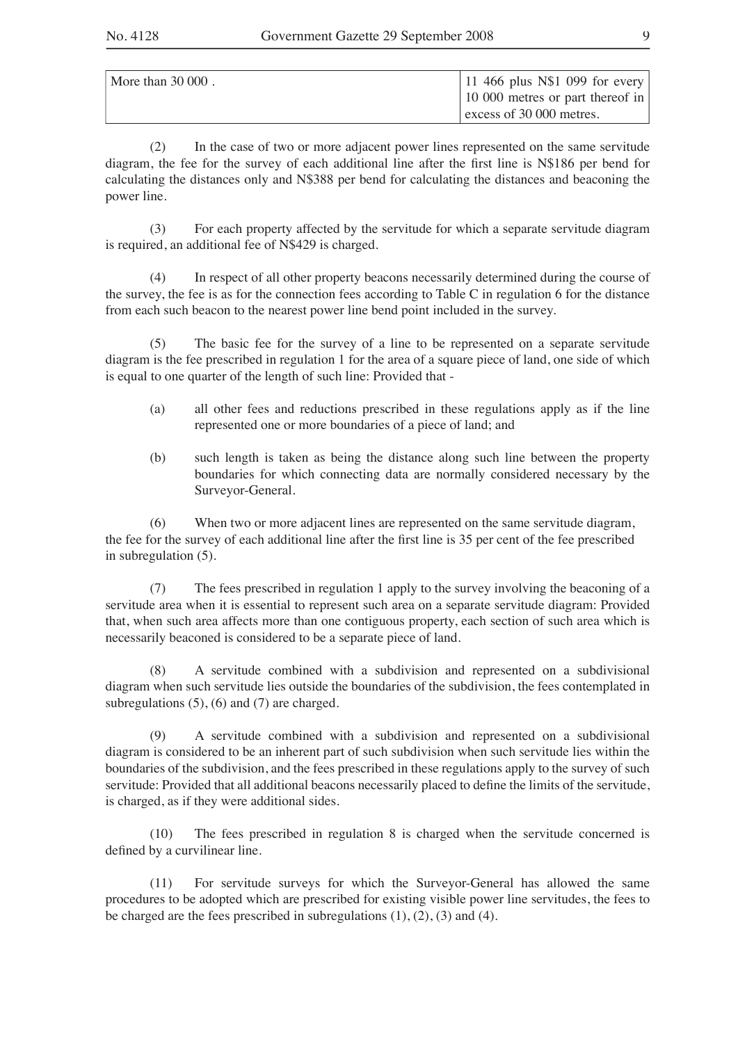| More than $30000$ . | 11 466 plus N\$1 099 for every   |
|---------------------|----------------------------------|
|                     | 10 000 metres or part thereof in |
|                     | $\vert$ excess of 30 000 metres. |

(2) In the case of two or more adjacent power lines represented on the same servitude diagram, the fee for the survey of each additional line after the first line is  $N$186$  per bend for calculating the distances only and N\$388 per bend for calculating the distances and beaconing the power line.

(3) For each property affected by the servitude for which a separate servitude diagram is required, an additional fee of N\$429 is charged.

(4) In respect of all other property beacons necessarily determined during the course of the survey, the fee is as for the connection fees according to Table C in regulation 6 for the distance from each such beacon to the nearest power line bend point included in the survey.

(5) The basic fee for the survey of a line to be represented on a separate servitude diagram is the fee prescribed in regulation 1 for the area of a square piece of land, one side of which is equal to one quarter of the length of such line: Provided that -

- (a) all other fees and reductions prescribed in these regulations apply as if the line represented one or more boundaries of a piece of land; and
- (b) such length is taken as being the distance along such line between the property boundaries for which connecting data are normally considered necessary by the Surveyor-General.

(6) When two or more adjacent lines are represented on the same servitude diagram, the fee for the survey of each additional line after the first line is 35 per cent of the fee prescribed in subregulation (5).

(7) The fees prescribed in regulation 1 apply to the survey involving the beaconing of a servitude area when it is essential to represent such area on a separate servitude diagram: Provided that, when such area affects more than one contiguous property, each section of such area which is necessarily beaconed is considered to be a separate piece of land.

(8) A servitude combined with a subdivision and represented on a subdivisional diagram when such servitude lies outside the boundaries of the subdivision, the fees contemplated in subregulations (5), (6) and (7) are charged.

(9) A servitude combined with a subdivision and represented on a subdivisional diagram is considered to be an inherent part of such subdivision when such servitude lies within the boundaries of the subdivision, and the fees prescribed in these regulations apply to the survey of such servitude: Provided that all additional beacons necessarily placed to define the limits of the servitude, is charged, as if they were additional sides.

(10) The fees prescribed in regulation 8 is charged when the servitude concerned is defined by a curvilinear line.

(11) For servitude surveys for which the Surveyor-General has allowed the same procedures to be adopted which are prescribed for existing visible power line servitudes, the fees to be charged are the fees prescribed in subregulations  $(1)$ ,  $(2)$ ,  $(3)$  and  $(4)$ .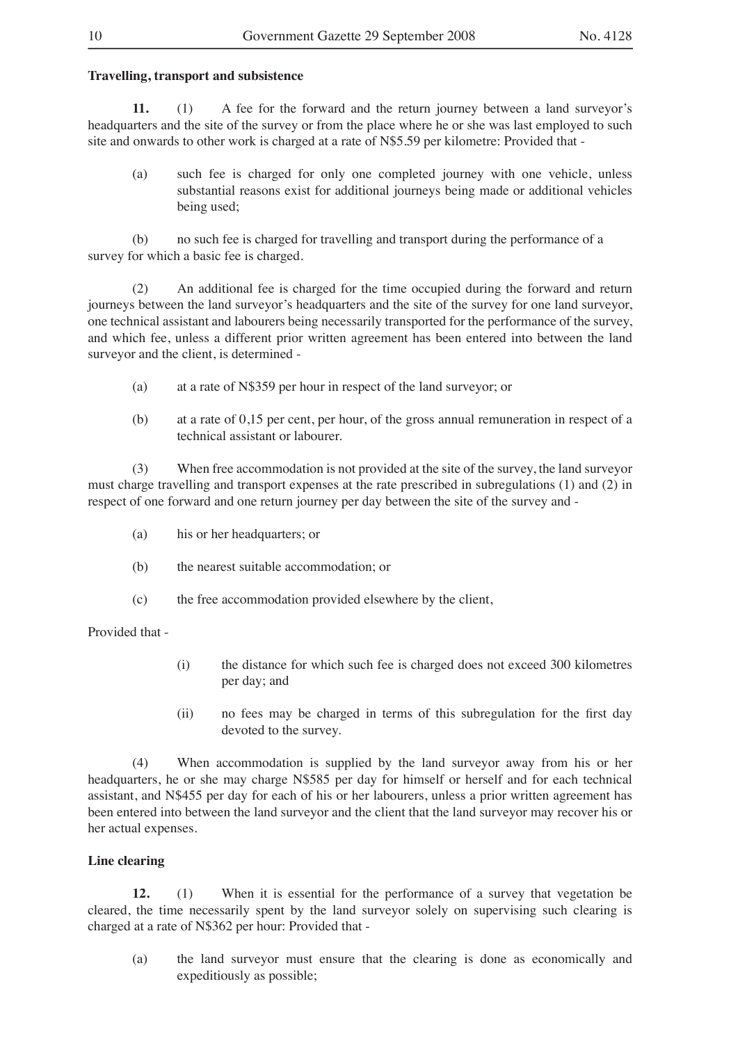#### **Travelling, transport and subsistence**

**11.** (1) A fee for the forward and the return journey between a land surveyor's headquarters and the site of the survey or from the place where he or she was last employed to such site and onwards to other work is charged at a rate of N\$5.59 per kilometre: Provided that -

(a) such fee is charged for only one completed journey with one vehicle, unless substantial reasons exist for additional journeys being made or additional vehicles being used;

(b) no such fee is charged for travelling and transport during the performance of a survey for which a basic fee is charged.

(2) An additional fee is charged for the time occupied during the forward and return journeys between the land surveyor's headquarters and the site of the survey for one land surveyor, one technical assistant and labourers being necessarily transported for the performance of the survey, and which fee, unless a different prior written agreement has been entered into between the land surveyor and the client, is determined -

- (a) at a rate of N\$359 per hour in respect of the land surveyor; or
- (b) at a rate of 0,15 per cent, per hour, of the gross annual remuneration in respect of a technical assistant or labourer.

(3) When free accommodation is not provided at the site of the survey, the land surveyor must charge travelling and transport expenses at the rate prescribed in subregulations (1) and (2) in respect of one forward and one return journey per day between the site of the survey and -

- (a) his or her headquarters; or
- (b) the nearest suitable accommodation; or
- (c) the free accommodation provided elsewhere by the client,

Provided that -

- (i) the distance for which such fee is charged does not exceed 300 kilometres per day; and
- (ii) no fees may be charged in terms of this subregulation for the first day devoted to the survey.

(4) When accommodation is supplied by the land surveyor away from his or her headquarters, he or she may charge N\$585 per day for himself or herself and for each technical assistant, and N\$455 per day for each of his or her labourers, unless a prior written agreement has been entered into between the land surveyor and the client that the land surveyor may recover his or her actual expenses.

#### **Line clearing**

**12.** (1) When it is essential for the performance of a survey that vegetation be cleared, the time necessarily spent by the land surveyor solely on supervising such clearing is charged at a rate of N\$362 per hour: Provided that -

(a) the land surveyor must ensure that the clearing is done as economically and expeditiously as possible;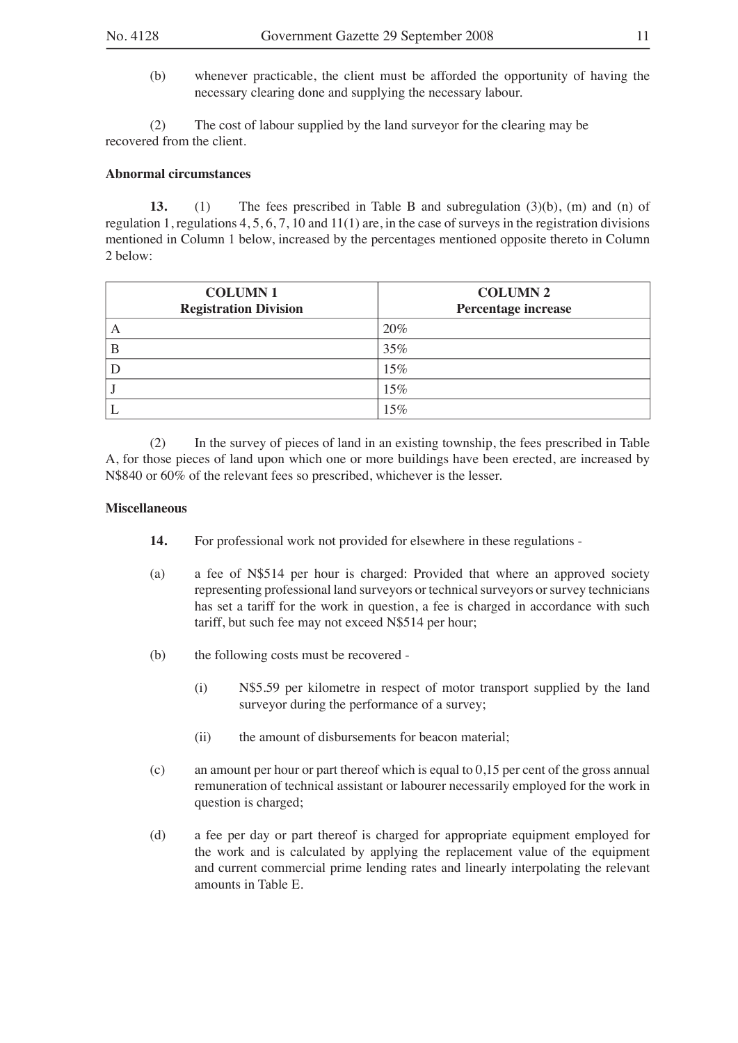(b) whenever practicable, the client must be afforded the opportunity of having the necessary clearing done and supplying the necessary labour.

(2) The cost of labour supplied by the land surveyor for the clearing may be recovered from the client.

#### **Abnormal circumstances**

**13.** (1) The fees prescribed in Table B and subregulation (3)(b), (m) and (n) of regulation 1, regulations 4, 5, 6, 7, 10 and 11(1) are, in the case of surveys in the registration divisions mentioned in Column 1 below, increased by the percentages mentioned opposite thereto in Column 2 below:

| <b>COLUMN1</b><br><b>Registration Division</b> | <b>COLUMN 2</b><br>Percentage increase |
|------------------------------------------------|----------------------------------------|
| А                                              | 20%                                    |
| B                                              | 35%                                    |
|                                                | 15%                                    |
|                                                | 15%                                    |
|                                                | 15%                                    |

(2) In the survey of pieces of land in an existing township, the fees prescribed in Table A, for those pieces of land upon which one or more buildings have been erected, are increased by N\$840 or 60% of the relevant fees so prescribed, whichever is the lesser.

#### **Miscellaneous**

- **14.** For professional work not provided for elsewhere in these regulations -
- (a) a fee of N\$514 per hour is charged: Provided that where an approved society representing professional land surveyors or technical surveyors or survey technicians has set a tariff for the work in question, a fee is charged in accordance with such tariff, but such fee may not exceed N\$514 per hour;
- (b) the following costs must be recovered
	- (i) N\$5.59 per kilometre in respect of motor transport supplied by the land surveyor during the performance of a survey;
	- (ii) the amount of disbursements for beacon material;
- (c) an amount per hour or part thereof which is equal to 0,15 per cent of the gross annual remuneration of technical assistant or labourer necessarily employed for the work in question is charged;
- (d) a fee per day or part thereof is charged for appropriate equipment employed for the work and is calculated by applying the replacement value of the equipment and current commercial prime lending rates and linearly interpolating the relevant amounts in Table E.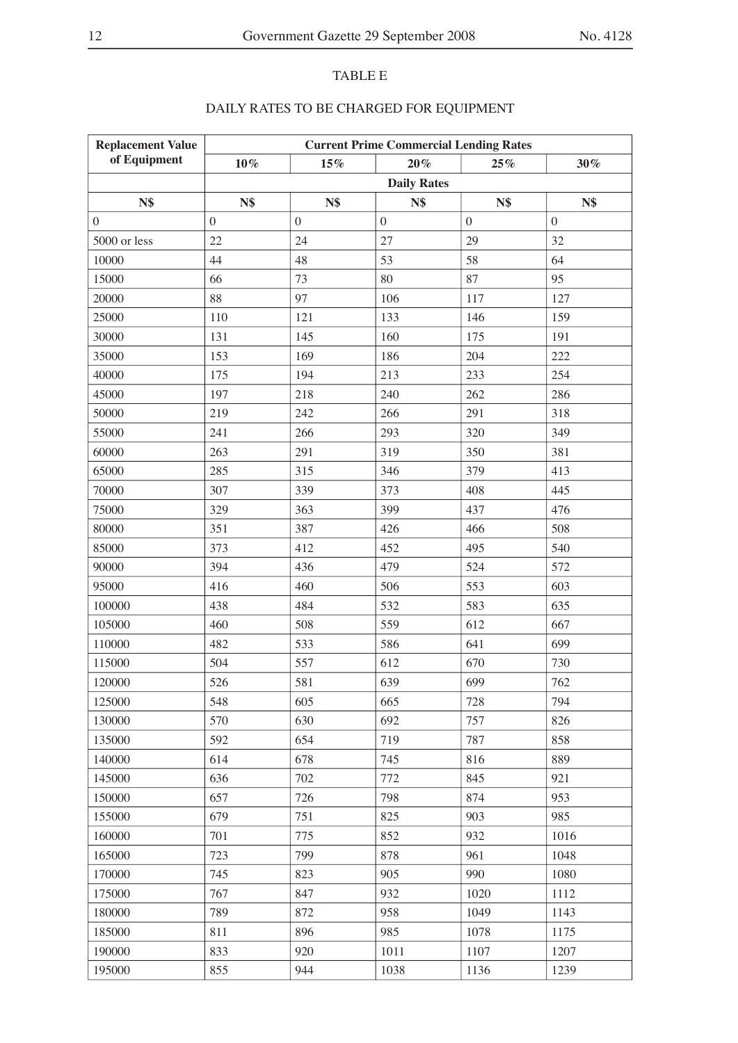### TABLE E

| <b>Replacement Value</b> | <b>Current Prime Commercial Lending Rates</b> |              |          |                  |          |  |
|--------------------------|-----------------------------------------------|--------------|----------|------------------|----------|--|
| of Equipment             | $10\%$                                        | 15%          | $20\,\%$ | 25%              | 30%      |  |
|                          | <b>Daily Rates</b>                            |              |          |                  |          |  |
| <b>N\$</b>               | N\$                                           | <b>N\$</b>   | N\$      | N\$              | N\$      |  |
| $\overline{0}$           | $\overline{0}$                                | $\mathbf{0}$ | $\theta$ | $\boldsymbol{0}$ | $\theta$ |  |
| 5000 or less             | 22                                            | 24           | 27       | 29               | 32       |  |
| 10000                    | 44                                            | 48           | 53       | 58               | 64       |  |
| 15000                    | 66                                            | 73           | 80       | 87               | 95       |  |
| 20000                    | 88                                            | 97           | 106      | 117              | 127      |  |
| 25000                    | 110                                           | 121          | 133      | 146              | 159      |  |
| 30000                    | 131                                           | 145          | 160      | 175              | 191      |  |
| 35000                    | 153                                           | 169          | 186      | 204              | 222      |  |
| 40000                    | 175                                           | 194          | 213      | 233              | 254      |  |
| 45000                    | 197                                           | 218          | 240      | 262              | 286      |  |
| 50000                    | 219                                           | 242          | 266      | 291              | 318      |  |
| 55000                    | 241                                           | 266          | 293      | 320              | 349      |  |
| 60000                    | 263                                           | 291          | 319      | 350              | 381      |  |
| 65000                    | 285                                           | 315          | 346      | 379              | 413      |  |
| 70000                    | 307                                           | 339          | 373      | 408              | 445      |  |
| 75000                    | 329                                           | 363          | 399      | 437              | 476      |  |
| 80000                    | 351                                           | 387          | 426      | 466              | 508      |  |
| 85000                    | 373                                           | 412          | 452      | 495              | 540      |  |
| 90000                    | 394                                           | 436          | 479      | 524              | 572      |  |
| 95000                    | 416                                           | 460          | 506      | 553              | 603      |  |
| 100000                   | 438                                           | 484          | 532      | 583              | 635      |  |
| 105000                   | 460                                           | 508          | 559      | 612              | 667      |  |
| 110000                   | 482                                           | 533          | 586      | 641              | 699      |  |
| 115000                   | 504                                           | 557          | 612      | 670              | 730      |  |
| 120000                   | 526                                           | 581          | 639      | 699              | 762      |  |
| 125000                   | 548                                           | 605          | 665      | 728              | 794      |  |
| 130000                   | 570                                           | 630          | 692      | 757              | 826      |  |
| 135000                   | 592                                           | 654          | 719      | 787              | 858      |  |
| 140000                   | 614                                           | 678          | 745      | 816              | 889      |  |
| 145000                   | 636                                           | 702          | 772      | 845              | 921      |  |
| 150000                   | 657                                           | 726          | 798      | 874              | 953      |  |
| 155000                   | 679                                           | 751          | 825      | 903              | 985      |  |
| 160000                   | 701                                           | 775          | 852      | 932              | 1016     |  |
| 165000                   | 723                                           | 799          | 878      | 961              | 1048     |  |
| 170000                   | 745                                           | 823          | 905      | 990              | 1080     |  |
| 175000                   | 767                                           | 847          | 932      | 1020             | 1112     |  |
| 180000                   | 789                                           | 872          | 958      | 1049             | 1143     |  |
| 185000                   | 811                                           | 896          | 985      | 1078             | 1175     |  |
| 190000                   | 833                                           | 920          | 1011     | 1107             | 1207     |  |
| 195000                   | 855                                           | 944          | 1038     | 1136             | 1239     |  |

## DAILY RATES TO BE CHARGED FOR EQUIPMENT